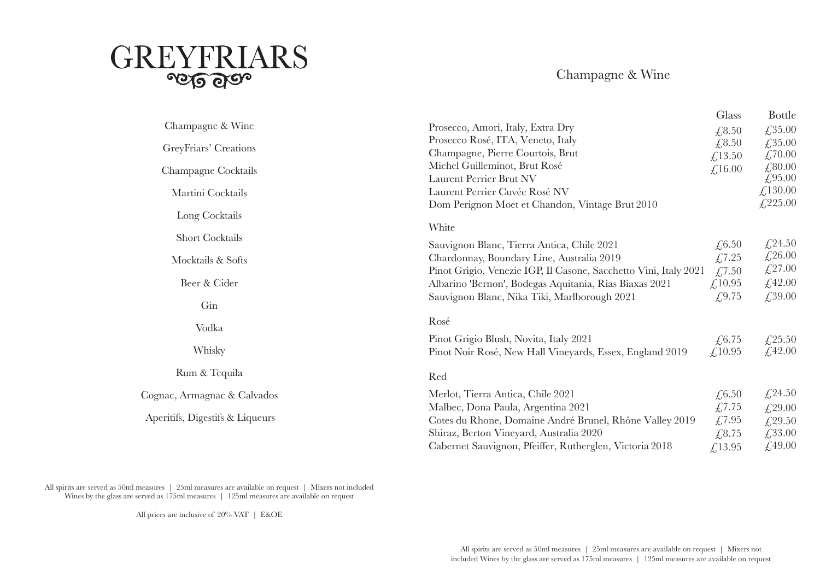

Champagne & Wine

|                                                          | Glass                                                                                                                                                                                                                                                                                                                                                                                | <b>Bottle</b>                                                                                               |
|----------------------------------------------------------|--------------------------------------------------------------------------------------------------------------------------------------------------------------------------------------------------------------------------------------------------------------------------------------------------------------------------------------------------------------------------------------|-------------------------------------------------------------------------------------------------------------|
| Prosecco, Amori, Italy, Extra Dry                        |                                                                                                                                                                                                                                                                                                                                                                                      | £35.00                                                                                                      |
| Prosecco Rosé, ITA, Veneto, Italy                        |                                                                                                                                                                                                                                                                                                                                                                                      | £,35.00                                                                                                     |
| Champagne, Pierre Courtois, Brut                         |                                                                                                                                                                                                                                                                                                                                                                                      | £,70.00                                                                                                     |
| Michel Guilleminot, Brut Rosé                            |                                                                                                                                                                                                                                                                                                                                                                                      | £,80.00                                                                                                     |
| Laurent Perrier Brut NV                                  |                                                                                                                                                                                                                                                                                                                                                                                      | £ $95.00$                                                                                                   |
| Laurent Perrier Cuvée Rosé NV                            |                                                                                                                                                                                                                                                                                                                                                                                      | £,130.00                                                                                                    |
| Dom Perignon Moet et Chandon, Vintage Brut 2010          |                                                                                                                                                                                                                                                                                                                                                                                      | £225.00                                                                                                     |
|                                                          |                                                                                                                                                                                                                                                                                                                                                                                      |                                                                                                             |
|                                                          |                                                                                                                                                                                                                                                                                                                                                                                      |                                                                                                             |
| Sauvignon Blanc, Tierra Antica, Chile 2021               | £,6.50                                                                                                                                                                                                                                                                                                                                                                               | £24.50                                                                                                      |
| Chardonnay, Boundary Line, Australia 2019                | £7.25                                                                                                                                                                                                                                                                                                                                                                                | £26.00                                                                                                      |
|                                                          | £,7.50                                                                                                                                                                                                                                                                                                                                                                               | £27.00                                                                                                      |
| Albarino 'Bernon', Bodegas Aquitania, Rias Biaxas 2021   |                                                                                                                                                                                                                                                                                                                                                                                      | £42.00                                                                                                      |
|                                                          |                                                                                                                                                                                                                                                                                                                                                                                      | £,39.00                                                                                                     |
|                                                          |                                                                                                                                                                                                                                                                                                                                                                                      |                                                                                                             |
|                                                          |                                                                                                                                                                                                                                                                                                                                                                                      |                                                                                                             |
| Pinot Grigio Blush, Novita, Italy 2021                   | £,6.75                                                                                                                                                                                                                                                                                                                                                                               | £,25.50                                                                                                     |
| Pinot Noir Rosé, New Hall Vineyards, Essex, England 2019 | £,10.95                                                                                                                                                                                                                                                                                                                                                                              | £,42.00                                                                                                     |
|                                                          |                                                                                                                                                                                                                                                                                                                                                                                      |                                                                                                             |
|                                                          |                                                                                                                                                                                                                                                                                                                                                                                      | £24.50                                                                                                      |
|                                                          |                                                                                                                                                                                                                                                                                                                                                                                      | £29.00                                                                                                      |
|                                                          |                                                                                                                                                                                                                                                                                                                                                                                      | £,29.50                                                                                                     |
|                                                          |                                                                                                                                                                                                                                                                                                                                                                                      | £33.00                                                                                                      |
|                                                          |                                                                                                                                                                                                                                                                                                                                                                                      | £,49.00                                                                                                     |
|                                                          | White<br>Pinot Grigio, Venezie IGP, Il Casone, Sacchetto Vini, Italy 2021<br>Sauvignon Blanc, Nika Tiki, Marlborough 2021<br>Rosé<br>Red<br>Merlot, Tierra Antica, Chile 2021<br>Malbec, Dona Paula, Argentina 2021<br>Cotes du Rhone, Domaine André Brunel, Rhône Valley 2019<br>Shiraz, Berton Vineyard, Australia 2020<br>Cabernet Sauvignon, Pfeiffer, Rutherglen, Victoria 2018 | £, 8.50<br>£,8.50<br>£13.50<br>£,16.00<br>£,10.95<br>£9.75<br>£,6.50<br>£7.75<br>£7.95<br>£,8.75<br>£,13.95 |

All spirits are served as 50ml measures | 25ml measures are available on request | Mixers not included Wines by the glass are served as 175ml measures | 125ml measures are available on request

All prices are inclusive of 20% VAT | E&OE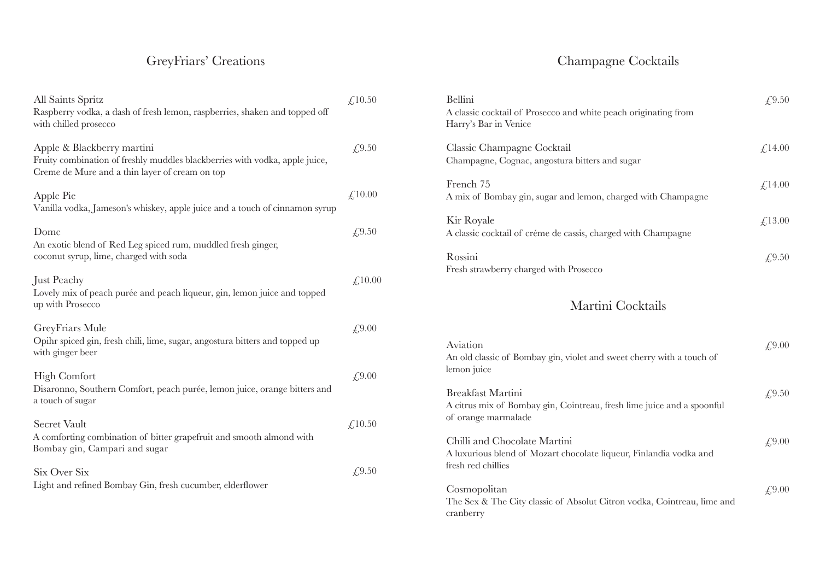# GreyFriars' Creations

| All Saints Spritz<br>Raspberry vodka, a dash of fresh lemon, raspberries, shaken and topped off<br>with chilled prosecco                                    | £10.50  |
|-------------------------------------------------------------------------------------------------------------------------------------------------------------|---------|
| Apple & Blackberry martini<br>Fruity combination of freshly muddles blackberries with vodka, apple juice,<br>Creme de Mure and a thin layer of cream on top | £,9.50  |
| Apple Pie<br>Vanilla vodka, Jameson's whiskey, apple juice and a touch of cinnamon syrup                                                                    | £10.00  |
| Dome<br>An exotic blend of Red Leg spiced rum, muddled fresh ginger,<br>coconut syrup, lime, charged with soda                                              | £,9.50  |
| Just Peachy<br>Lovely mix of peach purée and peach liqueur, gin, lemon juice and topped<br>up with Prosecco                                                 | £,10.00 |
| GreyFriars Mule<br>Opihr spiced gin, fresh chili, lime, sugar, angostura bitters and topped up<br>with ginger beer                                          | £,9.00  |
| <b>High Comfort</b><br>Disaronno, Southern Comfort, peach purée, lemon juice, orange bitters and<br>a touch of sugar                                        | £,9.00  |
| <b>Secret Vault</b><br>A comforting combination of bitter grapefruit and smooth almond with<br>Bombay gin, Campari and sugar                                | £,10.50 |
| Six Over Six<br>Light and refined Bombay Gin, fresh cucumber, elderflower                                                                                   | £,9.50  |

# Champagne Cocktails

| <b>Bellini</b><br>A classic cocktail of Prosecco and white peach originating from<br>Harry's Bar in Venice | $\angle 9.50$ |
|------------------------------------------------------------------------------------------------------------|---------------|
| Classic Champagne Cocktail<br>Champagne, Cognac, angostura bitters and sugar                               | f.14.00       |
| French 75<br>A mix of Bombay gin, sugar and lemon, charged with Champagne                                  | £14.00        |
| Kir Royale<br>A classic cocktail of créme de cassis, charged with Champagne                                | £13.00        |
| Rossini<br>Fresh strawberry charged with Prosecco                                                          | $\angle 9.50$ |

# Martini Cocktails

| Aviation<br>An old classic of Bombay gin, violet and sweet cherry with a touch of<br>lemon juice                         | £9.00 |
|--------------------------------------------------------------------------------------------------------------------------|-------|
| Breakfast Martini<br>A citrus mix of Bombay gin, Cointreau, fresh lime juice and a spoonful<br>of orange marmalade       | £9.50 |
| Chilli and Chocolate Martini<br>A luxurious blend of Mozart chocolate liqueur, Finlandia vodka and<br>fresh red chillies | £9.00 |
| Cosmopolitan<br>The Sex & The City classic of Absolut Citron vodka, Cointreau, lime and<br>cranberry                     | £9.00 |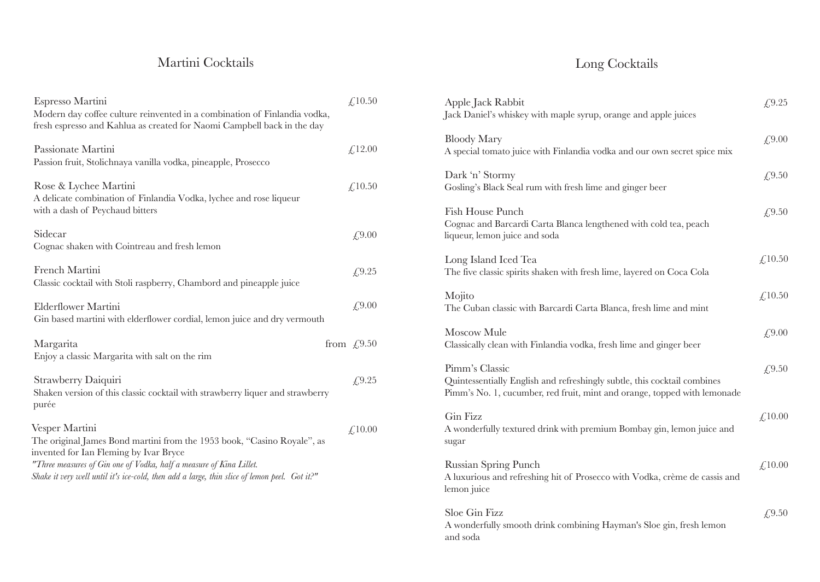## Martini Cocktails

| Espresso Martini<br>Modern day coffee culture reinvented in a combination of Finlandia vodka,<br>fresh espresso and Kahlua as created for Naomi Campbell back in the day                                                                                                                                   | £,10.50                         |
|------------------------------------------------------------------------------------------------------------------------------------------------------------------------------------------------------------------------------------------------------------------------------------------------------------|---------------------------------|
| Passionate Martini<br>Passion fruit, Stolichnaya vanilla vodka, pineapple, Prosecco                                                                                                                                                                                                                        | £,12.00                         |
| Rose & Lychee Martini<br>A delicate combination of Finlandia Vodka, lychee and rose liqueur<br>with a dash of Peychaud bitters                                                                                                                                                                             | £,10.50                         |
| Sidecar<br>Cognac shaken with Cointreau and fresh lemon                                                                                                                                                                                                                                                    | £,9.00                          |
| French Martini<br>Classic cocktail with Stoli raspberry, Chambord and pineapple juice                                                                                                                                                                                                                      | £,9.25                          |
| Elderflower Martini<br>Gin based martini with elderflower cordial, lemon juice and dry vermouth                                                                                                                                                                                                            | £,9.00                          |
| Margarita<br>Enjoy a classic Margarita with salt on the rim                                                                                                                                                                                                                                                | from $\text{\textsterling}9.50$ |
| Strawberry Daiquiri<br>Shaken version of this classic cocktail with strawberry liquer and strawberry<br>purée                                                                                                                                                                                              | £9.25                           |
| Vesper Martini<br>The original James Bond martini from the 1953 book, "Casino Royale", as<br>invented for Ian Fleming by Ivar Bryce<br>"Three measures of Gin one of Vodka, half a measure of Kina Lillet.<br>Shake it very well until it's ice-cold, then add a large, thin slice of lemon peel. Got it?" | £,10.00                         |

# Long Cocktails

| Apple Jack Rabbit<br>Jack Daniel's whiskey with maple syrup, orange and apple juices                                                                                   | £9.25  |
|------------------------------------------------------------------------------------------------------------------------------------------------------------------------|--------|
| <b>Bloody Mary</b><br>A special tomato juice with Finlandia vodka and our own secret spice mix                                                                         | £9.00  |
| Dark 'n' Stormy<br>Gosling's Black Seal rum with fresh lime and ginger beer                                                                                            | £9.50  |
| Fish House Punch<br>Cognac and Barcardi Carta Blanca lengthened with cold tea, peach<br>liqueur, lemon juice and soda                                                  | £,9.50 |
| Long Island Iced Tea<br>The five classic spirits shaken with fresh lime, layered on Coca Cola                                                                          | £10.50 |
| Mojito<br>The Cuban classic with Barcardi Carta Blanca, fresh lime and mint                                                                                            | £10.50 |
| Moscow Mule<br>Classically clean with Finlandia vodka, fresh lime and ginger beer                                                                                      | £,9.00 |
| Pimm's Classic<br>Quintessentially English and refreshingly subtle, this cocktail combines<br>Pimm's No. 1, cucumber, red fruit, mint and orange, topped with lemonade | £,9.50 |
| Gin Fizz<br>A wonderfully textured drink with premium Bombay gin, lemon juice and<br>sugar                                                                             | £10.00 |
| Russian Spring Punch<br>A luxurious and refreshing hit of Prosecco with Vodka, crème de cassis and<br>lemon juice                                                      | £10.00 |
| Sloe Gin Fizz<br>A wonderfully smooth drink combining Hayman's Sloe gin, fresh lemon<br>and soda                                                                       | £9.50  |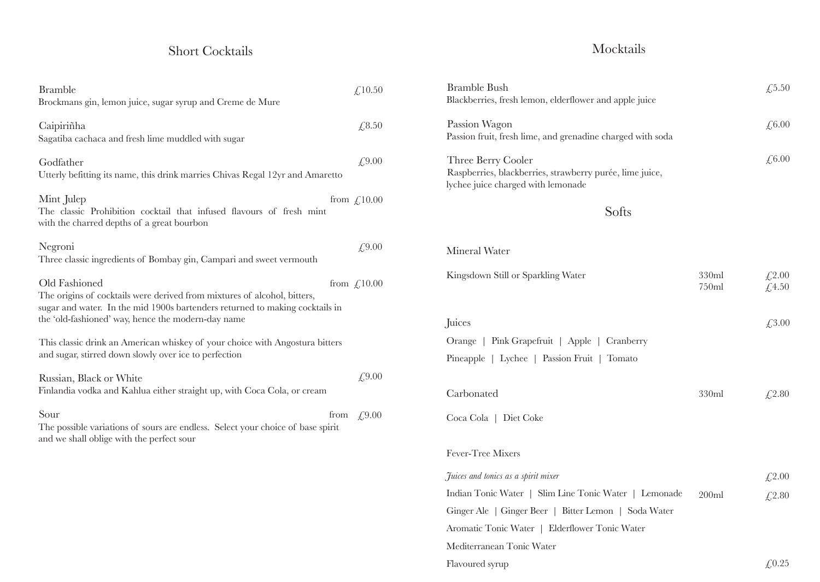## Short Cocktails

| <b>Bramble</b><br>£10.50<br>Brockmans gin, lemon juice, sugar syrup and Creme de Mure                                                                                                                                                                               |  |
|---------------------------------------------------------------------------------------------------------------------------------------------------------------------------------------------------------------------------------------------------------------------|--|
| £8.50<br>Caipiriñha<br>Sagatiba cachaca and fresh lime muddled with sugar                                                                                                                                                                                           |  |
| £9.00<br>Godfather<br>Utterly befitting its name, this drink marries Chivas Regal 12yr and Amaretto                                                                                                                                                                 |  |
| Mint Julep<br>from $\int$ , 10.00<br>The classic Prohibition cocktail that infused flavours of fresh mint<br>with the charred depths of a great bourbon                                                                                                             |  |
| Negroni<br>£9.00<br>Three classic ingredients of Bombay gin, Campari and sweet vermouth                                                                                                                                                                             |  |
| Old Fashioned<br>from $\text{\textsterling}10.00$<br>The origins of cocktails were derived from mixtures of alcohol, bitters,<br>sugar and water. In the mid 1900s bartenders returned to making cocktails in<br>the 'old-fashioned' way, hence the modern-day name |  |
| This classic drink an American whiskey of your choice with Angostura bitters<br>and sugar, stirred down slowly over ice to perfection                                                                                                                               |  |
| £9.00<br>Russian, Black or White<br>Finlandia vodka and Kahlua either straight up, with Coca Cola, or cream                                                                                                                                                         |  |
| Sour<br>£,9.00<br>from<br>The possible variations of sours are endless. Select your choice of base spirit<br>and we shall oblige with the perfect sour                                                                                                              |  |
|                                                                                                                                                                                                                                                                     |  |

## Mocktails

| <b>Bramble Bush</b><br>Blackberries, fresh lemon, elderflower and apple juice                                        |                | £5.50          |
|----------------------------------------------------------------------------------------------------------------------|----------------|----------------|
| Passion Wagon<br>Passion fruit, fresh lime, and grenadine charged with soda                                          |                | £6.00          |
| Three Berry Cooler<br>Raspberries, blackberries, strawberry purée, lime juice,<br>lychee juice charged with lemonade |                | £6.00          |
| Softs                                                                                                                |                |                |
| Mineral Water                                                                                                        |                |                |
| Kingsdown Still or Sparkling Water                                                                                   | 330ml<br>750ml | £2.00<br>£4.50 |
| Juices                                                                                                               |                | £3.00          |
| Orange   Pink Grapefruit   Apple   Cranberry                                                                         |                |                |
| Pineapple   Lychee   Passion Fruit   Tomato                                                                          |                |                |
| Carbonated                                                                                                           | 330ml          | £2.80          |
| Coca Cola   Diet Coke                                                                                                |                |                |
| Fever-Tree Mixers                                                                                                    |                |                |
| Juices and tonics as a spirit mixer                                                                                  |                | £2.00          |
| Indian Tonic Water   Slim Line Tonic Water   Lemonade                                                                | 200ml          | £2.80          |
| Ginger Ale   Ginger Beer   Bitter Lemon   Soda Water                                                                 |                |                |
| Aromatic Tonic Water   Elderflower Tonic Water                                                                       |                |                |
| Mediterranean Tonic Water                                                                                            |                |                |
| Flavoured syrup                                                                                                      |                | £0.25          |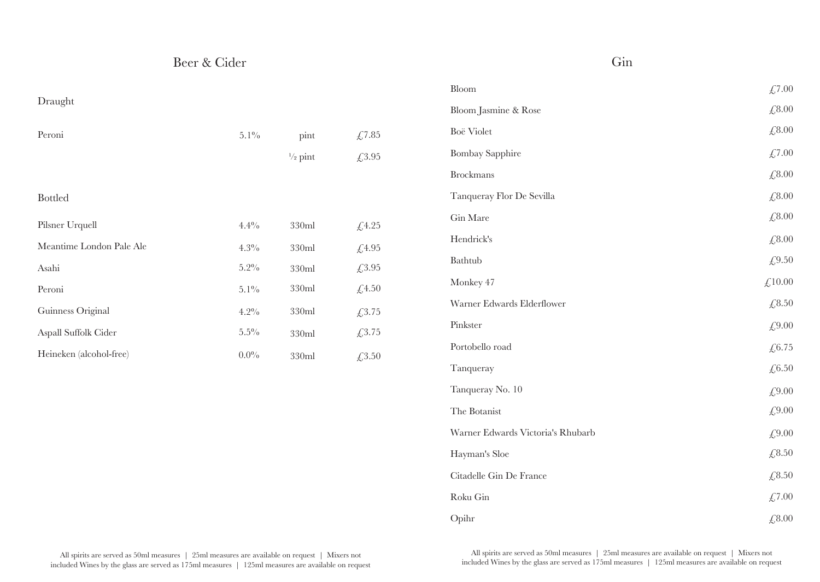| Beer & Cider |
|--------------|
|              |

#### Draught

| Peroni                   | $5.1\%$ | pint               | £7.85  |
|--------------------------|---------|--------------------|--------|
|                          |         | $\frac{1}{2}$ pint | £3.95  |
|                          |         |                    |        |
| <b>Bottled</b>           |         |                    |        |
| Pilsner Urquell          | 4.4%    | 330ml              | £4.25  |
| Meantime London Pale Ale | $4.3\%$ | 330ml              | £4.95  |
| Asahi                    | $5.2\%$ | 330ml              | £3.95  |
| Peroni                   | $5.1\%$ | 330ml              | £4.50  |
| Guinness Original        | $4.2\%$ | 330ml              | £3.75  |
| Aspall Suffolk Cider     | $5.5\%$ | 330ml              | £3.75  |
| Heineken (alcohol-free)  | $0.0\%$ | 330ml              | £,3.50 |

| Bloom                             | £7.00  |
|-----------------------------------|--------|
| Bloom Jasmine & Rose              | £8.00  |
| Boë Violet                        | £8.00  |
| <b>Bombay Sapphire</b>            | £7.00  |
| <b>Brockmans</b>                  | £8.00  |
| Tanqueray Flor De Sevilla         | £,8.00 |
| Gin Mare                          | £8.00  |
| Hendrick's                        | £8.00  |
| Bathtub                           | £9.50  |
| Monkey 47                         | £10.00 |
| Warner Edwards Elderflower        | £8.50  |
| Pinkster                          | £9.00  |
| Portobello road                   | £6.75  |
| Tanqueray                         | £6.50  |
| Tanqueray No. 10                  | £9.00  |
| The Botanist                      | £9.00  |
| Warner Edwards Victoria's Rhubarb | £9.00  |
| Hayman's Sloe                     | £8.50  |
| Citadelle Gin De France           | £8.50  |
| Roku Gin                          | £7.00  |
| Opihr                             | £8.00  |

Gin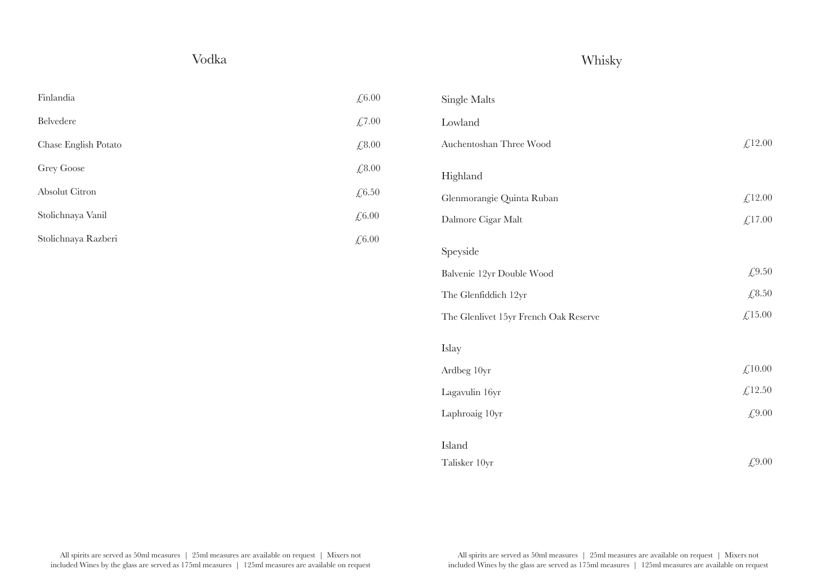## Vodka

## Whisky

| Finlandia            | $\text{\textsterling},6.00$ |
|----------------------|-----------------------------|
| <b>Belvedere</b>     | £,7.00                      |
| Chase English Potato | £,8.00                      |
| Grey Goose           | $\sqrt{6.8.00}$             |
| Absolut Citron       | $\sqrt{6.50}$               |
| Stolichnaya Vanil    | £,6.00                      |
| Stolichnaya Razberi  | £,6.00                      |

| <b>Single Malts</b>                   |                |
|---------------------------------------|----------------|
| Lowland                               |                |
| Auchentoshan Three Wood               | £,12.00        |
| Highland                              |                |
| Glenmorangie Quinta Ruban             | £12.00         |
| Dalmore Cigar Malt                    | £17.00         |
| Speyside                              |                |
| Balvenie 12yr Double Wood             | £9.50          |
| The Glenfiddich 12yr                  | £8.50          |
| The Glenlivet 15yr French Oak Reserve | £15.00         |
| Islay                                 |                |
| Ardbeg 10yr                           | $\pounds10.00$ |
| Lagavulin 16yr                        | £12.50         |
| Laphroaig 10yr                        | £9.00          |
| Island                                |                |
| Talisker 10yr                         | £9.00          |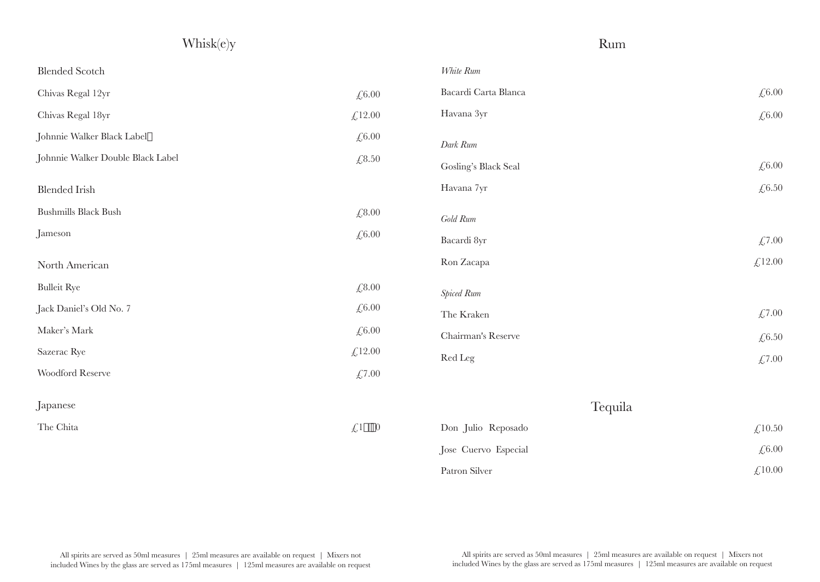| Whisk(e)y                         |           | Rum                  |                      |
|-----------------------------------|-----------|----------------------|----------------------|
| <b>Blended Scotch</b>             |           | White Rum            |                      |
| Chivas Regal 12yr                 | £6.00     | Bacardi Carta Blanca | £6.00                |
| Chivas Regal 18yr                 | £12.00    | Havana 3yr           | £ $6.00$             |
| Johnnie Walker Black Label        | £6.00     | Dark Rum             |                      |
| Johnnie Walker Double Black Label | £8.50     | Gosling's Black Seal | £6.00                |
| <b>Blended Irish</b>              |           | Havana 7yr           | £6.50                |
| <b>Bushmills Black Bush</b>       | £8.00     | Gold Rum             |                      |
| Jameson                           | £6.00     | Bacardi 8yr          | £7.00                |
| North American                    |           | Ron Zacapa           | £12.00               |
| <b>Bulleit Rye</b>                | £8.00     | Spiced Rum           |                      |
| Jack Daniel's Old No. 7           | £6.00     | The Kraken           | £7.00                |
| Maker's Mark                      | £6.00     | Chairman's Reserve   | $\textsterling 6.50$ |
| Sazerac Rye                       | £12.00    | Red Leg              | £7.00                |
| Woodford Reserve                  | £7.00     |                      |                      |
| Japanese                          |           | Tequila              |                      |
| The Chita                         | $(1 - 0)$ | Don Julio Reposado   | £10.50               |
|                                   |           | Jose Cuervo Especial | £6.00                |
|                                   |           | Patron Silver        | £10.00               |